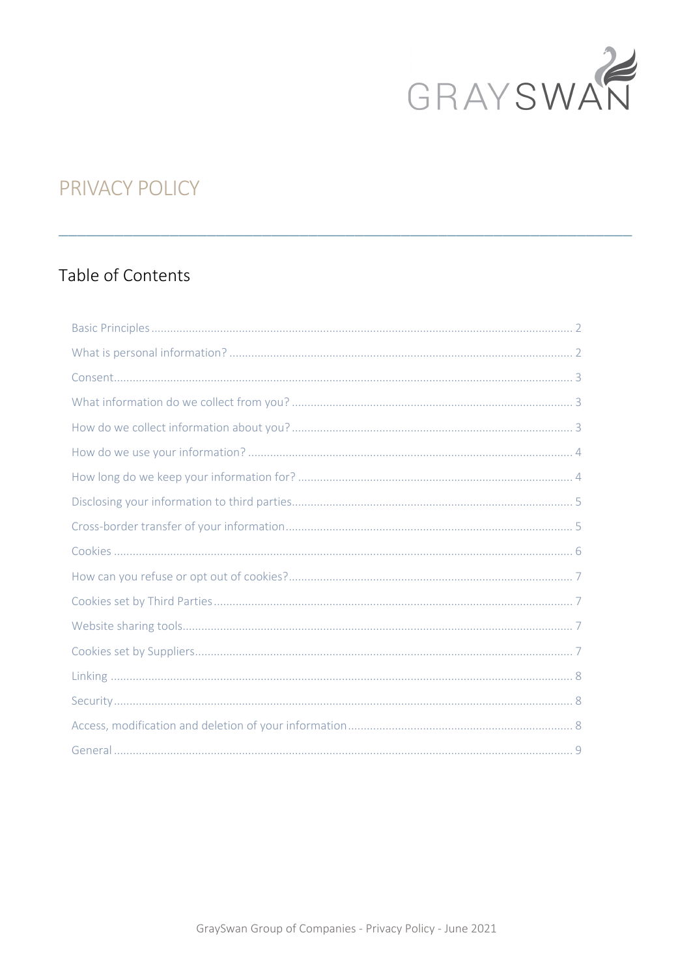

# **PRIVACY POLICY**

## Table of Contents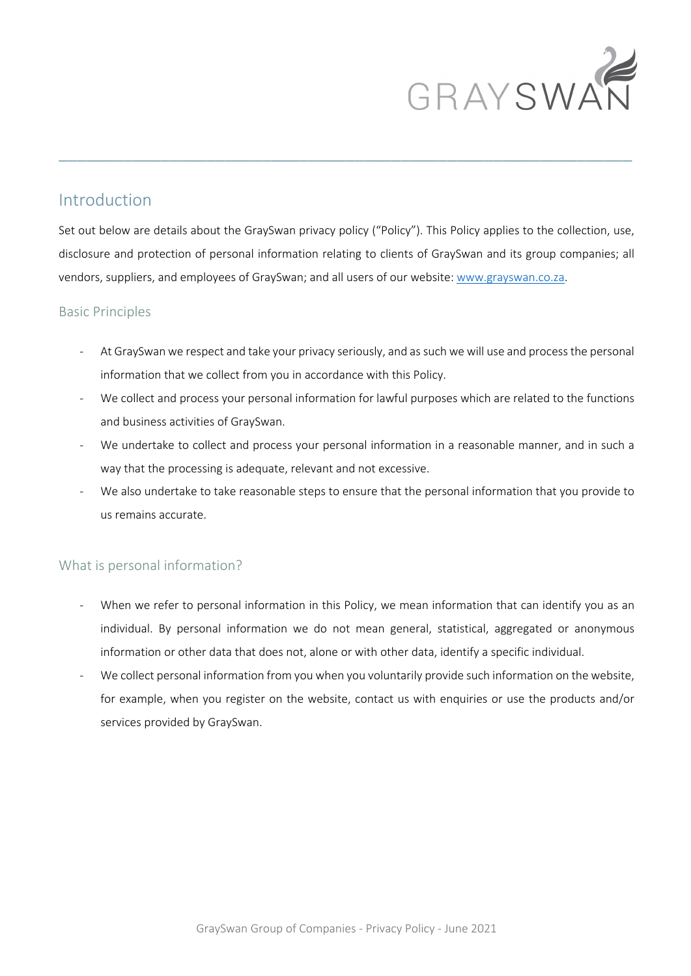

## Introduction

Set out below are details about the GraySwan privacy policy ("Policy"). This Policy applies to the collection, use, disclosure and protection of personal information relating to clients of GraySwan and its group companies; all vendors, suppliers, and employees of GraySwan; and all users of our website: www.grayswan.co.za.

 $\_$  , and the set of the set of the set of the set of the set of the set of the set of the set of the set of the set of the set of the set of the set of the set of the set of the set of the set of the set of the set of th

## Basic Principles

- At GraySwan we respect and take your privacy seriously, and as such we will use and process the personal information that we collect from you in accordance with this Policy.
- We collect and process your personal information for lawful purposes which are related to the functions and business activities of GraySwan.
- We undertake to collect and process your personal information in a reasonable manner, and in such a way that the processing is adequate, relevant and not excessive.
- We also undertake to take reasonable steps to ensure that the personal information that you provide to us remains accurate.

## What is personal information?

- When we refer to personal information in this Policy, we mean information that can identify you as an individual. By personal information we do not mean general, statistical, aggregated or anonymous information or other data that does not, alone or with other data, identify a specific individual.
- We collect personal information from you when you voluntarily provide such information on the website, for example, when you register on the website, contact us with enquiries or use the products and/or services provided by GraySwan.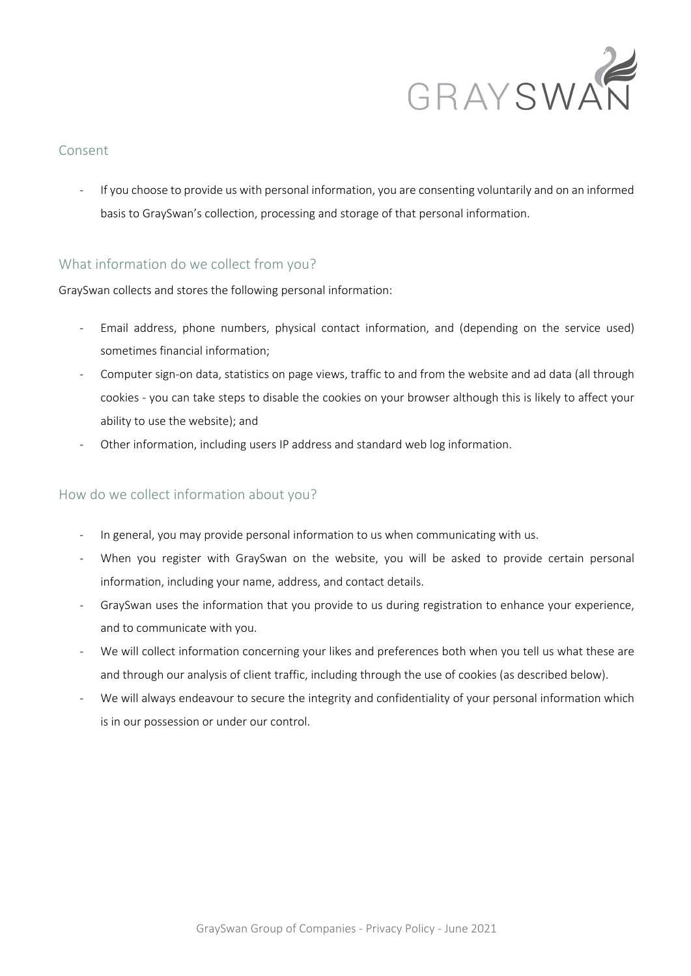

## Consent

- If you choose to provide us with personal information, you are consenting voluntarily and on an informed basis to GraySwan's collection, processing and storage of that personal information.

## What information do we collect from you?

#### GraySwan collects and stores the following personal information:

- Email address, phone numbers, physical contact information, and (depending on the service used) sometimes financial information;
- Computer sign-on data, statistics on page views, traffic to and from the website and ad data (all through cookies - you can take steps to disable the cookies on your browser although this is likely to affect your ability to use the website); and
- Other information, including users IP address and standard web log information.

## How do we collect information about you?

- In general, you may provide personal information to us when communicating with us.
- When you register with GraySwan on the website, you will be asked to provide certain personal information, including your name, address, and contact details.
- GraySwan uses the information that you provide to us during registration to enhance your experience, and to communicate with you.
- We will collect information concerning your likes and preferences both when you tell us what these are and through our analysis of client traffic, including through the use of cookies (as described below).
- We will always endeavour to secure the integrity and confidentiality of your personal information which is in our possession or under our control.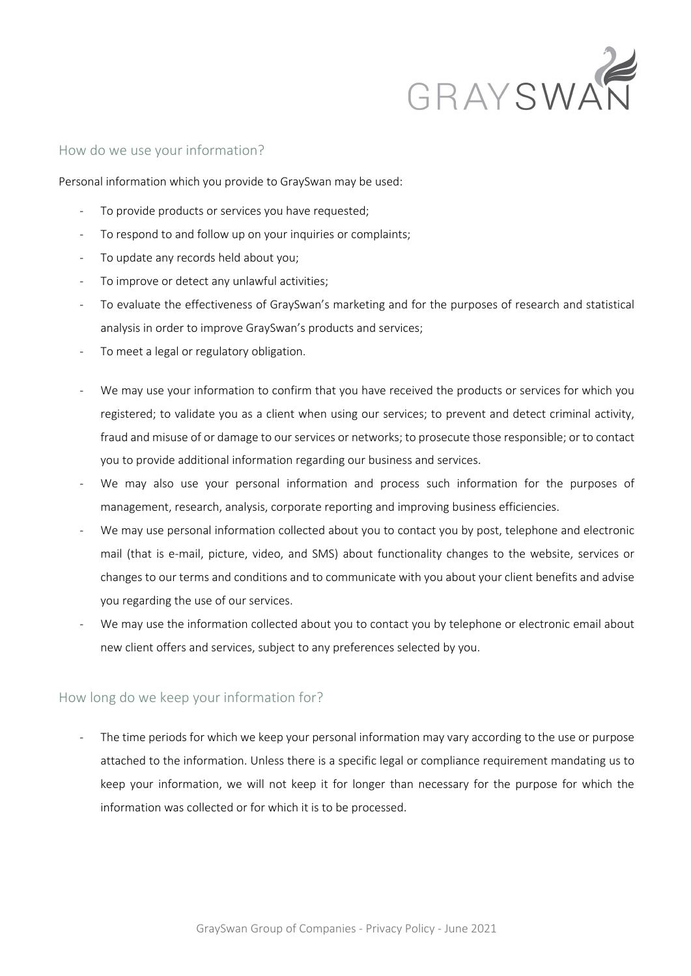

#### How do we use your information?

Personal information which you provide to GraySwan may be used:

- To provide products or services you have requested;
- To respond to and follow up on your inquiries or complaints;
- To update any records held about you;
- To improve or detect any unlawful activities;
- To evaluate the effectiveness of GraySwan's marketing and for the purposes of research and statistical analysis in order to improve GraySwan's products and services;
- To meet a legal or regulatory obligation.
- We may use your information to confirm that you have received the products or services for which you registered; to validate you as a client when using our services; to prevent and detect criminal activity, fraud and misuse of or damage to our services or networks; to prosecute those responsible; or to contact you to provide additional information regarding our business and services.
- We may also use your personal information and process such information for the purposes of management, research, analysis, corporate reporting and improving business efficiencies.
- We may use personal information collected about you to contact you by post, telephone and electronic mail (that is e-mail, picture, video, and SMS) about functionality changes to the website, services or changes to our terms and conditions and to communicate with you about your client benefits and advise you regarding the use of our services.
- We may use the information collected about you to contact you by telephone or electronic email about new client offers and services, subject to any preferences selected by you.

#### How long do we keep your information for?

The time periods for which we keep your personal information may vary according to the use or purpose attached to the information. Unless there is a specific legal or compliance requirement mandating us to keep your information, we will not keep it for longer than necessary for the purpose for which the information was collected or for which it is to be processed.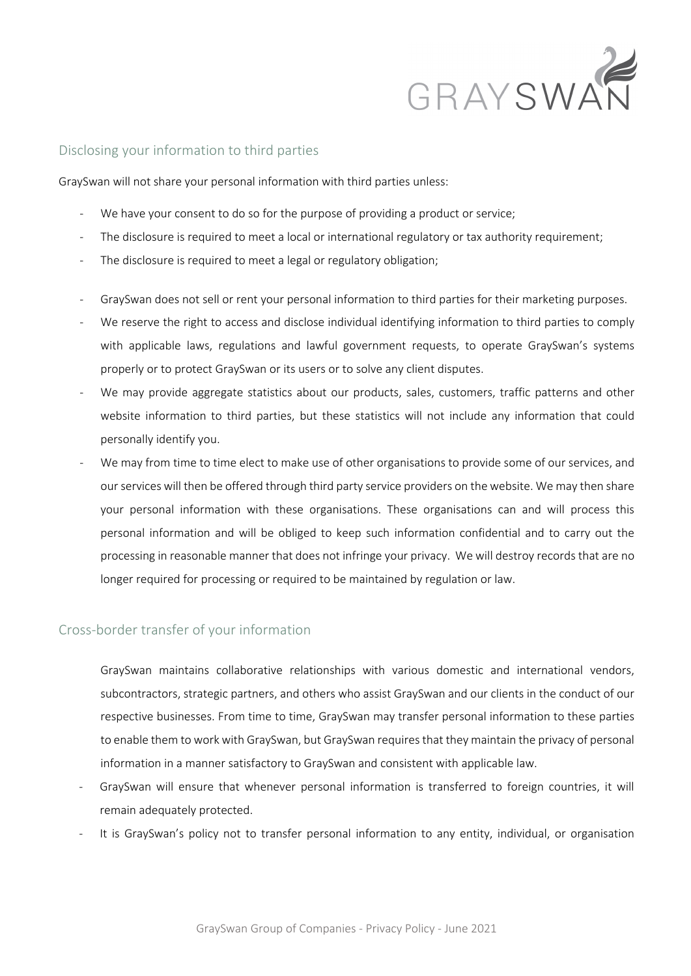

#### Disclosing your information to third parties

GraySwan will not share your personal information with third parties unless:

- We have your consent to do so for the purpose of providing a product or service;
- The disclosure is required to meet a local or international regulatory or tax authority requirement;
- The disclosure is required to meet a legal or regulatory obligation;
- GraySwan does not sell or rent your personal information to third parties for their marketing purposes.
- We reserve the right to access and disclose individual identifying information to third parties to comply with applicable laws, regulations and lawful government requests, to operate GraySwan's systems properly or to protect GraySwan or its users or to solve any client disputes.
- We may provide aggregate statistics about our products, sales, customers, traffic patterns and other website information to third parties, but these statistics will not include any information that could personally identify you.
- We may from time to time elect to make use of other organisations to provide some of our services, and our services will then be offered through third party service providers on the website. We may then share your personal information with these organisations. These organisations can and will process this personal information and will be obliged to keep such information confidential and to carry out the processing in reasonable manner that does not infringe your privacy. We will destroy records that are no longer required for processing or required to be maintained by regulation or law.

#### Cross-border transfer of your information

GraySwan maintains collaborative relationships with various domestic and international vendors, subcontractors, strategic partners, and others who assist GraySwan and our clients in the conduct of our respective businesses. From time to time, GraySwan may transfer personal information to these parties to enable them to work with GraySwan, but GraySwan requires that they maintain the privacy of personal information in a manner satisfactory to GraySwan and consistent with applicable law.

- GraySwan will ensure that whenever personal information is transferred to foreign countries, it will remain adequately protected.
- It is GraySwan's policy not to transfer personal information to any entity, individual, or organisation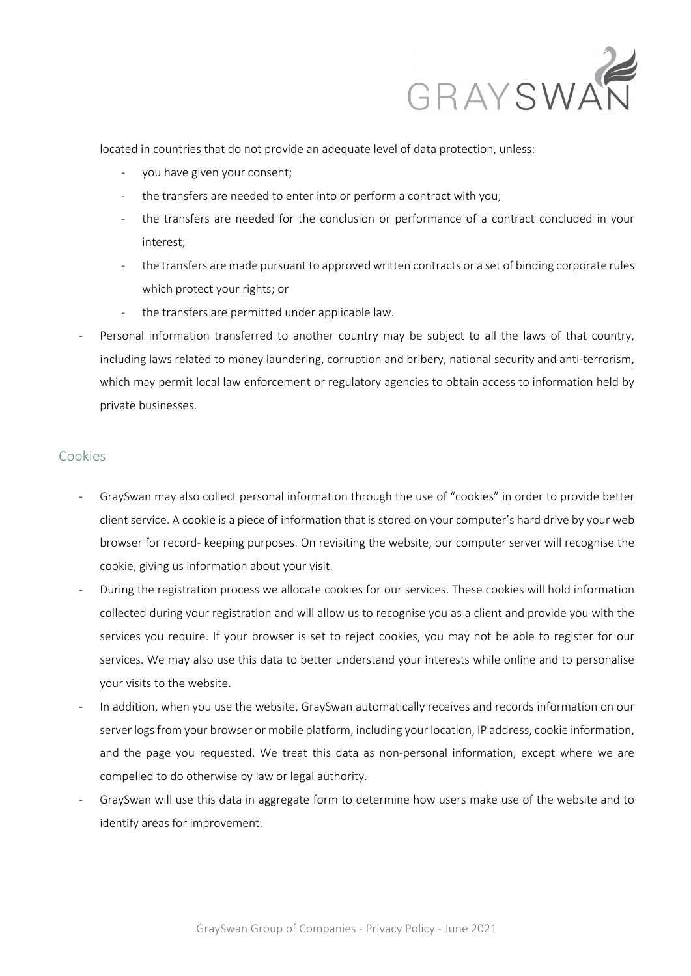

located in countries that do not provide an adequate level of data protection, unless:

- you have given your consent;
- the transfers are needed to enter into or perform a contract with you;
- the transfers are needed for the conclusion or performance of a contract concluded in your interest;
- the transfers are made pursuant to approved written contracts or a set of binding corporate rules which protect your rights; or
- the transfers are permitted under applicable law.
- Personal information transferred to another country may be subject to all the laws of that country, including laws related to money laundering, corruption and bribery, national security and anti-terrorism, which may permit local law enforcement or regulatory agencies to obtain access to information held by private businesses.

#### Cookies

- GraySwan may also collect personal information through the use of "cookies" in order to provide better client service. A cookie is a piece of information that is stored on your computer's hard drive by your web browser for record- keeping purposes. On revisiting the website, our computer server will recognise the cookie, giving us information about your visit.
- During the registration process we allocate cookies for our services. These cookies will hold information collected during your registration and will allow us to recognise you as a client and provide you with the services you require. If your browser is set to reject cookies, you may not be able to register for our services. We may also use this data to better understand your interests while online and to personalise your visits to the website.
- In addition, when you use the website, GraySwan automatically receives and records information on our server logs from your browser or mobile platform, including your location, IP address, cookie information, and the page you requested. We treat this data as non-personal information, except where we are compelled to do otherwise by law or legal authority.
- GraySwan will use this data in aggregate form to determine how users make use of the website and to identify areas for improvement.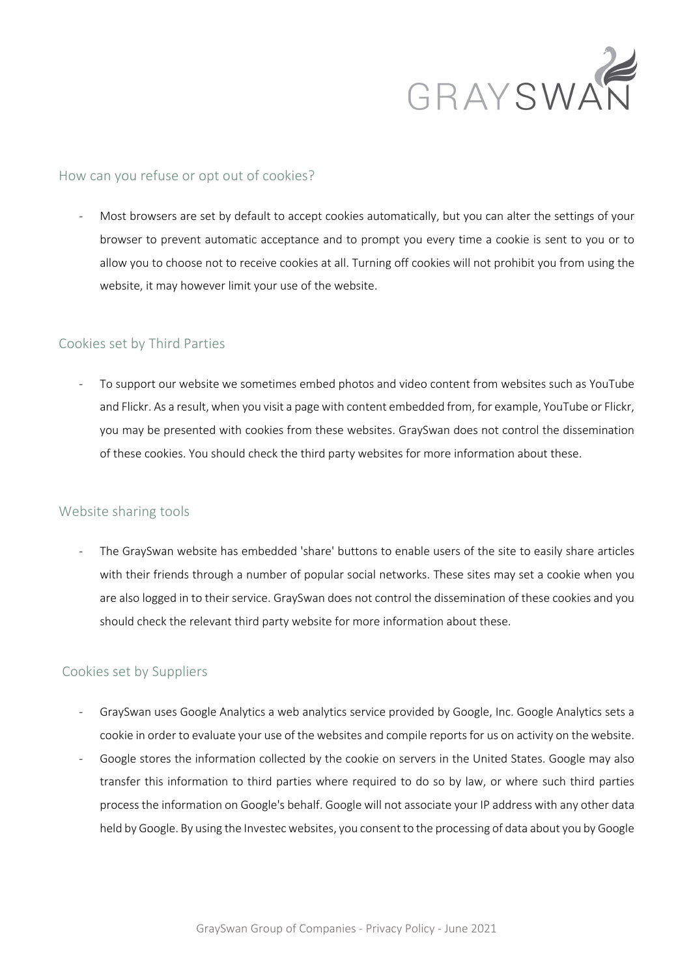

#### How can you refuse or opt out of cookies?

Most browsers are set by default to accept cookies automatically, but you can alter the settings of your browser to prevent automatic acceptance and to prompt you every time a cookie is sent to you or to allow you to choose not to receive cookies at all. Turning off cookies will not prohibit you from using the website, it may however limit your use of the website.

#### Cookies set by Third Parties

To support our website we sometimes embed photos and video content from websites such as YouTube and Flickr. As a result, when you visit a page with content embedded from, for example, YouTube or Flickr, you may be presented with cookies from these websites. GraySwan does not control the dissemination of these cookies. You should check the third party websites for more information about these.

#### Website sharing tools

The GraySwan website has embedded 'share' buttons to enable users of the site to easily share articles with their friends through a number of popular social networks. These sites may set a cookie when you are also logged in to their service. GraySwan does not control the dissemination of these cookies and you should check the relevant third party website for more information about these.

## Cookies set by Suppliers

- GraySwan uses Google Analytics a web analytics service provided by Google, Inc. Google Analytics sets a cookie in order to evaluate your use of the websites and compile reports for us on activity on the website.
- Google stores the information collected by the cookie on servers in the United States. Google may also transfer this information to third parties where required to do so by law, or where such third parties process the information on Google's behalf. Google will not associate your IP address with any other data held by Google. By using the Investec websites, you consent to the processing of data about you by Google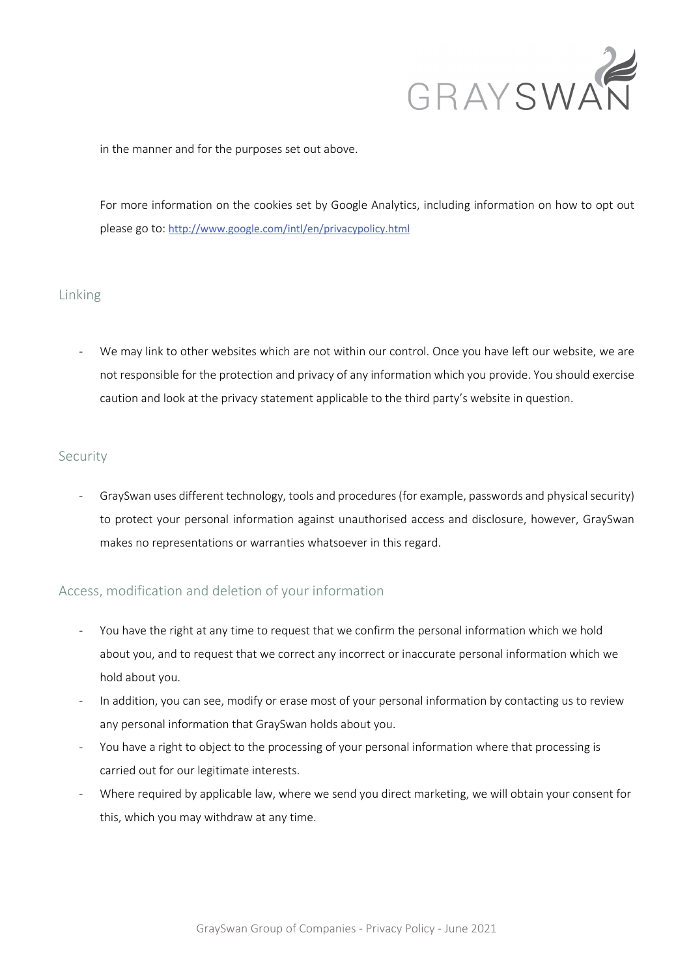

in the manner and for the purposes set out above.

For more information on the cookies set by Google Analytics, including information on how to opt out please go to: http://www.google.com/intl/en/privacypolicy.html

## Linking

We may link to other websites which are not within our control. Once you have left our website, we are not responsible for the protection and privacy of any information which you provide. You should exercise caution and look at the privacy statement applicable to the third party's website in question.

## Security

- GraySwan uses different technology, tools and procedures (for example, passwords and physical security) to protect your personal information against unauthorised access and disclosure, however, GraySwan makes no representations or warranties whatsoever in this regard.

## Access, modification and deletion of your information

- You have the right at any time to request that we confirm the personal information which we hold about you, and to request that we correct any incorrect or inaccurate personal information which we hold about you.
- In addition, you can see, modify or erase most of your personal information by contacting us to review any personal information that GraySwan holds about you.
- You have a right to object to the processing of your personal information where that processing is carried out for our legitimate interests.
- Where required by applicable law, where we send you direct marketing, we will obtain your consent for this, which you may withdraw at any time.